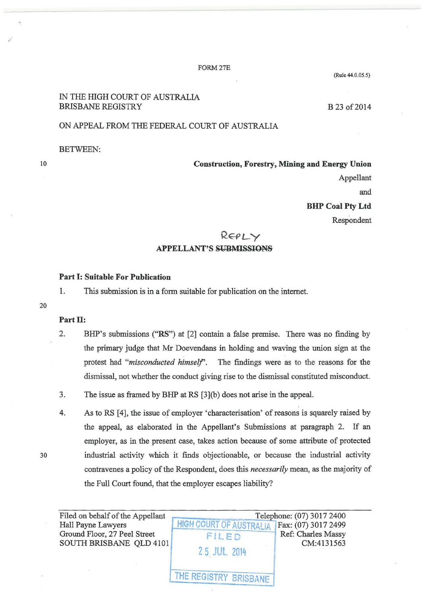#### FORM27E

# IN THE HIGH COURT OF AUSTRALIA BRISBANE REGISTRY

B 23 of 2014

(Rule 44.0.05.5)

# ON APPEAL FROM THE FEDERAL COURT OF AUSTRALIA

BETWEEN:

10

Construction, Forestry, Mining and Energy Union

Appellant and

**BHP Coal Pty Ltd** 

Respondent

REPLY

## APPELLANT'S SUBMISSIONS

## Part 1: Suitable For Publication

1. This submission is in a form suitable for publication on the internet.

20

## Part II:

- 2. BHP's submissions ("RS") at [2] contain a false premise. There was no finding by the primary judge that Mr Doevendans in holding and waving the union sign at the protest had *"misconducted himself'.* The findings were as to the reasons for the dismissal, not whether the conduct giving rise to the dismissal constituted misconduct.
- 3. The issue as framed by BHP at RS [3](b) does not arise in the appeal.
- 4. As to RS [4], the issue of employer 'characterisation' of reasons is squarely raised by the appeal, as elaborated in the Appellant's Submissions at paragraph 2. If an employer, as in the present case, takes action because of some attribute of protected 30 industrial activity which it finds objectionable, or because the industrial activity contravenes a policy of the Respondent, does this *necessarily* mean, as the majority of the Full Court found, that the employer escapes liability?

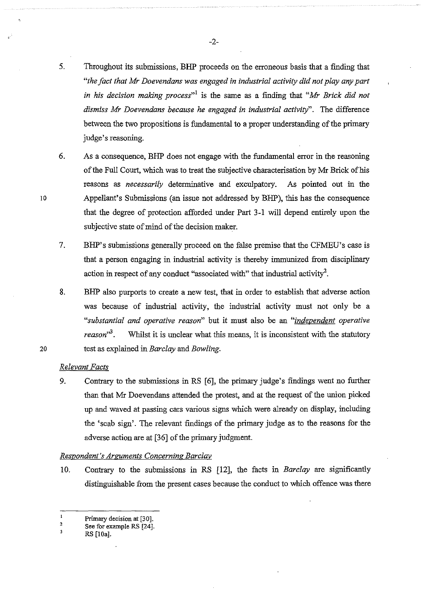- 5. Throughout its submissions, BHP proceeds on the erroneous basis that a finding that *"the fact that Mr Doevendans was engaged in industrial activity did not play any part*  in his decision making process<sup>"1</sup> is the same as a finding that "Mr Brick did not *dismiss Mr Doevendans because he engaged in industrial activity".* The difference between the two propositions is fundamental to a proper understanding of the primary judge's reasoning.
- 6. As a consequence, BHP does not engage with the fundamental error in the reasoning of the Full Court, which was to treat the subjective characterisation by Mr Brick of his reasons as *necessarily* determinative and exculpatory. As pointed out in the Appellant's Submissions (an issue not addressed by BHP), this has the consequence that the degree of protection afforded under Part 3-1 will depend entirely upon the subjective state of mind of the decision maker.
- 7. BHP's submissions generally proceed on the false premise that the CFMEU's case is that a person engaging in industrial activity is thereby immunized from disciplinary action in respect of any conduct "associated with" that industrial activity<sup>2</sup>.

8. BHP also purports to create a new test, that in order to establish that adverse action was because of industrial activity, the industrial activity must not only be a *"substantial and operative reason"* but it must also be an *"independent operative reason*<sup>3</sup>. Whilst it is unclear what this means, it is inconsistent with the statutory test as explained in *Barclay* and *Bowling.* 

### *Relevant Facts*

10

20

9. Contrary to the submissions in RS [6], the primary judge's findings went no further than that Mr Doevendans attended the protest, and at the request of the union picked up and waved at passing cars various signs which were already on display, including the 'scab sign'. The relevant findings of the primary judge as to the reasons for the adverse action are at [36] of the primary judgment.

### *Respondent's Arguments Concerning Barclav*

10. Contrary to the submissions in RS [12], the facts in *Barclay* are significantly distinguishable from the present cases because the conduct to which offence was there

-2-

 $\mathbf{1}$ Primary decision at (30].

<sup>2</sup>  See for example RS (24].

 $\overline{\mathbf{3}}$ RS [lOa].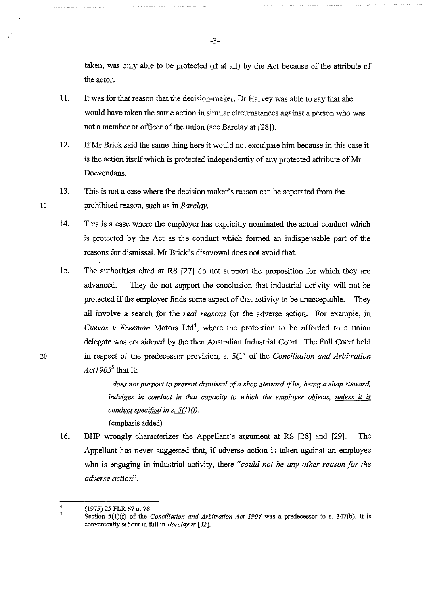taken, was only able to be protected (if at all) by the Act because of the attribute of the actor.

- 11. It was for that reason that the decision-maker, Dr Harvey was able to say that she would have taken the same action in similar circumstances against a person who was not a member or officer of the union (see Barclay at [28]).
- 12. IfMr Brick said the same thing here it would not exculpate him because in this case it is the action itself which is protected independently of any protected attribute of Mr Doevendans.
- 13. This is not a case where the decision maker's reason can be separated from the prohibited reason, such as in *Barclay.*
- 14. This is a case where the employer has explicitly nominated the actual conduct which is protected by the Act as the conduct which formed an indispensable part of the reasons for dismissal. Mr Brick's disavowal does not avoid that.
- 15. The authorities cited at RS [27] do not support the proposition for which they are advanced. They do not support the conclusion that industrial activity will not be protected if the employer finds some aspect of that activity to be unacceptable. They all involve a search for the *real reasons* for the adverse action. For example, in *Cuevas v Freeman* Motors Ltd<sup>4</sup>, where the protection to be afforded to a union delegate was considered by the then Australian Industrial Court. The Full Court held 20 in respect of the predecessor provision, s. 5(1) of the *Conciliation and Arbitration Actl905<sup>5</sup>*that it:

*.. does not purport to prevent dismissal of a shop steward* if *he, being a shop steward,*  indulges in conduct in that capacity to which the employer objects, *unless it is conduct specified ins. 5ClJ(f).* 

16. BHP wrongly characterizes the Appellant's argument at RS [28] and [29]. The Appellant has never suggested that, if adverse action is taken against an employee who is engaging in industrial activity, there *"could not be any other reason for the adverse action".* 

(emphasis added)

10

<sup>4</sup>  *\$*  (1975) 25 FLR 67 at 78

Section 5(l)(f) of the *Conciliation and Arbitration Act 1904* was a predecessor to s. 347(b). It is conveniently set out in full in *Barclay* at [82].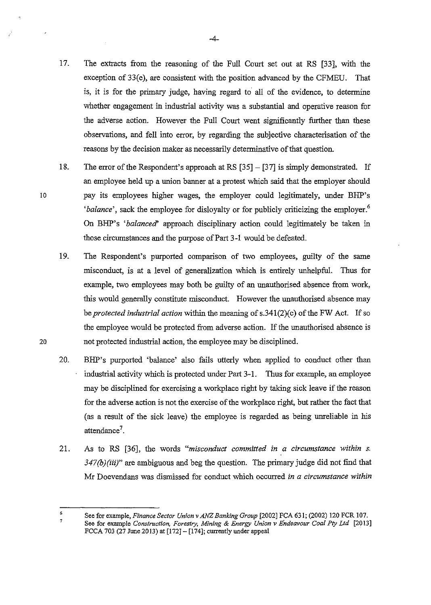- 17. The extracts from the reasoning of the Full Court set out at RS [33], with the exception of 33(e), are consistent with the position advanced by the CFMEU. That is, it is for the primary judge, having regard to all of the evidence, to determine whether engagement in industrial activity was a substantial and operative reason for the adverse action. However the Full Court went significantly further than these observations, and fell into error, by regarding the subjective characterisation of the reasons by the decision maker as necessarily determinative of that question.
- 18. The error of the Respondent's approach at RS [35] [37] is simply demonstrated. If an employee held up a union banner at a protest which said that the employer should pay its employees higher wages, the employer could legitimately, under BHP's *'balance'*, sack the employee for disloyalty or for publicly criticizing the employer.<sup>6</sup> On BHP's *'balanced'* approach disciplinary action could legitimately be taken in those circumstances and the purpose of Part 3-1 would be defeated.
	- 19. The Respondent's purported comparison of two employees, guilty of the same misconduct, is at a level of generalization which is entirely unhelpfuL Thus for example, two employees may both be guilty of an unauthorised absence from work, this would generally constitute misconduct. However the unauthorised absence may be *protected industrial action* within the meaning of s.341(2)(c) of the FW Act. If so the employee would be protected from adverse action. If the unauthorised absence is not protected industrial action, the employee may be disciplined.
	- 20. BHP's purported 'balance' also fails utterly when applied to conduct other than industrial activity which is protected under Part 3-1. Thus for example, an employee may be disciplined for exercising a workplace right by taking sick leave if the reason for the adverse action is not the exercise of the workplace right, but rather the fact that (as a result of the sick leave) the employee is regarded as being unreliable in his attendance<sup>7</sup>.
	- 21. As to RS [36], the words *"misconduct committed in a circumstance within s. 347(b)(iii)"* are ambiguous and beg the question. The primary judge did not find that Mr Doevendans was dismissed for conduct which occurred *in a circumstance within*

6 7 See for example, *Finance Sector Union v ANZ Banking Group* [2002] FCA 631; (2002) 120 FCR 107. See for example *Construction, Forestry, Mining* & *Energy Union v Endeavour Coal Pty Ltd* [2013] FCCA 703 (27 June 2013) at (172]- [174]; currently under appeal

20

10